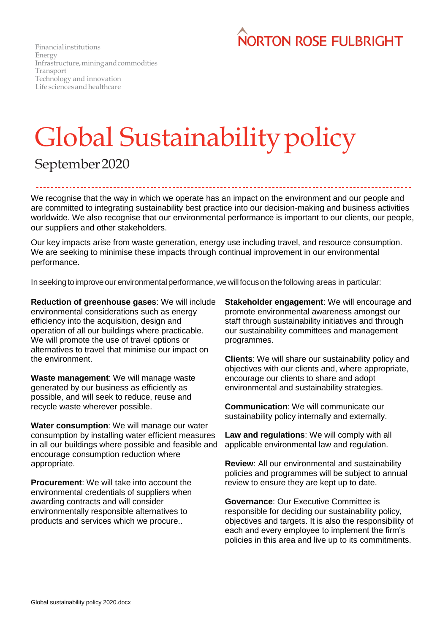

Financialinstitutions Energy Infrastructure,miningandcommodities Transport Technology and innovation Life sciences and healthcare

## Global Sustainability policy

## September2020

We recognise that the way in which we operate has an impact on the environment and our people and are committed to integrating sustainability best practice into our decision-making and business activities worldwide. We also recognise that our environmental performance is important to our clients, our people, our suppliers and other stakeholders.

Our key impacts arise from waste generation, energy use including travel, and resource consumption. We are seeking to minimise these impacts through continual improvement in our environmental performance.

In seeking to improve our environmental performance, we will focus on the following areas in particular:

**Reduction of greenhouse gases**: We will include environmental considerations such as energy efficiency into the acquisition, design and operation of all our buildings where practicable. We will promote the use of travel options or alternatives to travel that minimise our impact on the environment.

**Waste management**: We will manage waste generated by our business as efficiently as possible, and will seek to reduce, reuse and recycle waste wherever possible.

**Water consumption**: We will manage our water consumption by installing water efficient measures in all our buildings where possible and feasible and encourage consumption reduction where appropriate.

**Procurement**: We will take into account the environmental credentials of suppliers when awarding contracts and will consider environmentally responsible alternatives to products and services which we procure..

**Stakeholder engagement**: We will encourage and promote environmental awareness amongst our staff through sustainability initiatives and through our sustainability committees and management programmes.

**Clients**: We will share our sustainability policy and objectives with our clients and, where appropriate, encourage our clients to share and adopt environmental and sustainability strategies.

**Communication**: We will communicate our sustainability policy internally and externally.

**Law and regulations**: We will comply with all applicable environmental law and regulation.

**Review**: All our environmental and sustainability policies and programmes will be subject to annual review to ensure they are kept up to date.

**Governance**: Our Executive Committee is responsible for deciding our sustainability policy, objectives and targets. It is also the responsibility of each and every employee to implement the firm's policies in this area and live up to its commitments.